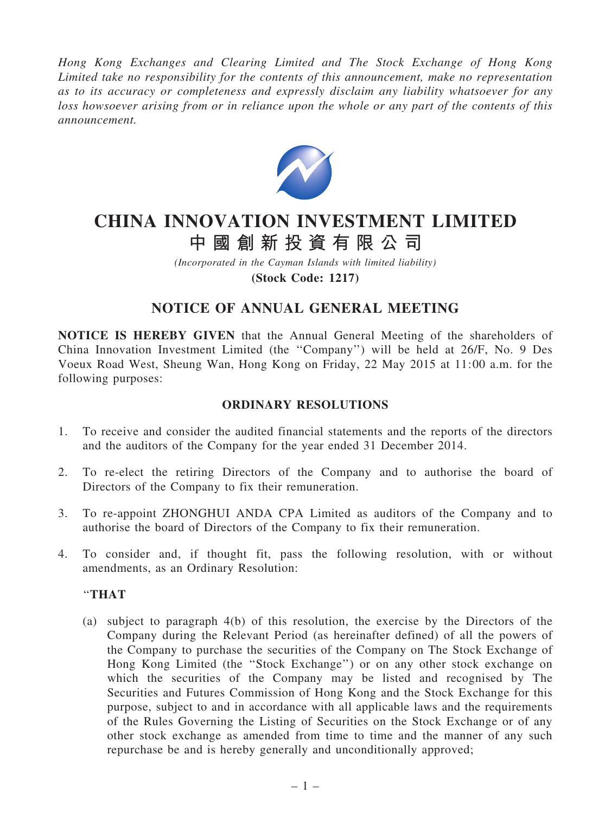*Hong Kong Exchanges and Clearing Limited and The Stock Exchange of Hong Kong Limited take no responsibility for the contents of this announcement, make no representation as to its accuracy or completeness and expressly disclaim any liability whatsoever for any loss howsoever arising from or in reliance upon the whole or any part of the contents of this announcement.*



# CHINA INNOVATION INVESTMENT LIMITED 中 國 創 新 投 資 有 限 公 司

*(Incorporated in the Cayman Islands with limited liability)* (Stock Code: 1217)

## NOTICE OF ANNUAL GENERAL MEETING

NOTICE IS HEREBY GIVEN that the Annual General Meeting of the shareholders of China Innovation Investment Limited (the ''Company'') will be held at 26/F, No. 9 Des Voeux Road West, Sheung Wan, Hong Kong on Friday, 22 May 2015 at 11:00 a.m. for the following purposes:

### ORDINARY RESOLUTIONS

- 1. To receive and consider the audited financial statements and the reports of the directors and the auditors of the Company for the year ended 31 December 2014.
- 2. To re-elect the retiring Directors of the Company and to authorise the board of Directors of the Company to fix their remuneration.
- 3. To re-appoint ZHONGHUI ANDA CPA Limited as auditors of the Company and to authorise the board of Directors of the Company to fix their remuneration.
- 4. To consider and, if thought fit, pass the following resolution, with or without amendments, as an Ordinary Resolution:

#### ''THAT

(a) subject to paragraph 4(b) of this resolution, the exercise by the Directors of the Company during the Relevant Period (as hereinafter defined) of all the powers of the Company to purchase the securities of the Company on The Stock Exchange of Hong Kong Limited (the ''Stock Exchange'') or on any other stock exchange on which the securities of the Company may be listed and recognised by The Securities and Futures Commission of Hong Kong and the Stock Exchange for this purpose, subject to and in accordance with all applicable laws and the requirements of the Rules Governing the Listing of Securities on the Stock Exchange or of any other stock exchange as amended from time to time and the manner of any such repurchase be and is hereby generally and unconditionally approved;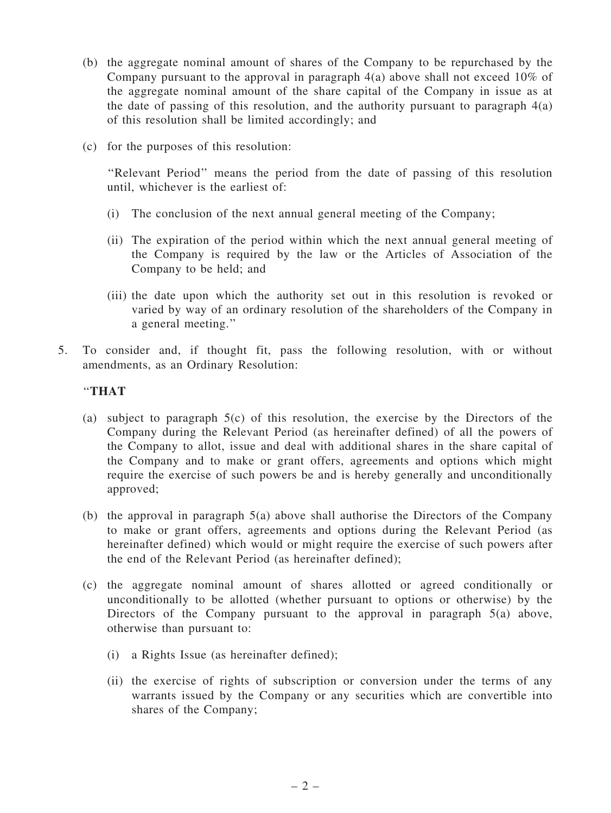- (b) the aggregate nominal amount of shares of the Company to be repurchased by the Company pursuant to the approval in paragraph 4(a) above shall not exceed 10% of the aggregate nominal amount of the share capital of the Company in issue as at the date of passing of this resolution, and the authority pursuant to paragraph  $4(a)$ of this resolution shall be limited accordingly; and
- (c) for the purposes of this resolution:

''Relevant Period'' means the period from the date of passing of this resolution until, whichever is the earliest of:

- (i) The conclusion of the next annual general meeting of the Company;
- (ii) The expiration of the period within which the next annual general meeting of the Company is required by the law or the Articles of Association of the Company to be held; and
- (iii) the date upon which the authority set out in this resolution is revoked or varied by way of an ordinary resolution of the shareholders of the Company in a general meeting.''
- 5. To consider and, if thought fit, pass the following resolution, with or without amendments, as an Ordinary Resolution:

#### ''THAT

- (a) subject to paragraph 5(c) of this resolution, the exercise by the Directors of the Company during the Relevant Period (as hereinafter defined) of all the powers of the Company to allot, issue and deal with additional shares in the share capital of the Company and to make or grant offers, agreements and options which might require the exercise of such powers be and is hereby generally and unconditionally approved;
- (b) the approval in paragraph 5(a) above shall authorise the Directors of the Company to make or grant offers, agreements and options during the Relevant Period (as hereinafter defined) which would or might require the exercise of such powers after the end of the Relevant Period (as hereinafter defined);
- (c) the aggregate nominal amount of shares allotted or agreed conditionally or unconditionally to be allotted (whether pursuant to options or otherwise) by the Directors of the Company pursuant to the approval in paragraph 5(a) above, otherwise than pursuant to:
	- (i) a Rights Issue (as hereinafter defined);
	- (ii) the exercise of rights of subscription or conversion under the terms of any warrants issued by the Company or any securities which are convertible into shares of the Company;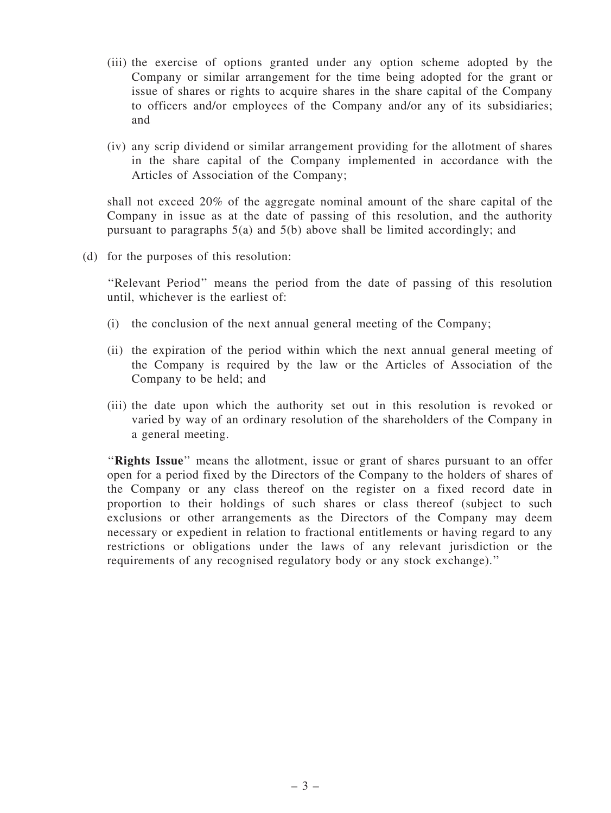- (iii) the exercise of options granted under any option scheme adopted by the Company or similar arrangement for the time being adopted for the grant or issue of shares or rights to acquire shares in the share capital of the Company to officers and/or employees of the Company and/or any of its subsidiaries; and
- (iv) any scrip dividend or similar arrangement providing for the allotment of shares in the share capital of the Company implemented in accordance with the Articles of Association of the Company;

shall not exceed 20% of the aggregate nominal amount of the share capital of the Company in issue as at the date of passing of this resolution, and the authority pursuant to paragraphs 5(a) and 5(b) above shall be limited accordingly; and

(d) for the purposes of this resolution:

''Relevant Period'' means the period from the date of passing of this resolution until, whichever is the earliest of:

- (i) the conclusion of the next annual general meeting of the Company;
- (ii) the expiration of the period within which the next annual general meeting of the Company is required by the law or the Articles of Association of the Company to be held; and
- (iii) the date upon which the authority set out in this resolution is revoked or varied by way of an ordinary resolution of the shareholders of the Company in a general meeting.

"Rights Issue" means the allotment, issue or grant of shares pursuant to an offer open for a period fixed by the Directors of the Company to the holders of shares of the Company or any class thereof on the register on a fixed record date in proportion to their holdings of such shares or class thereof (subject to such exclusions or other arrangements as the Directors of the Company may deem necessary or expedient in relation to fractional entitlements or having regard to any restrictions or obligations under the laws of any relevant jurisdiction or the requirements of any recognised regulatory body or any stock exchange).''